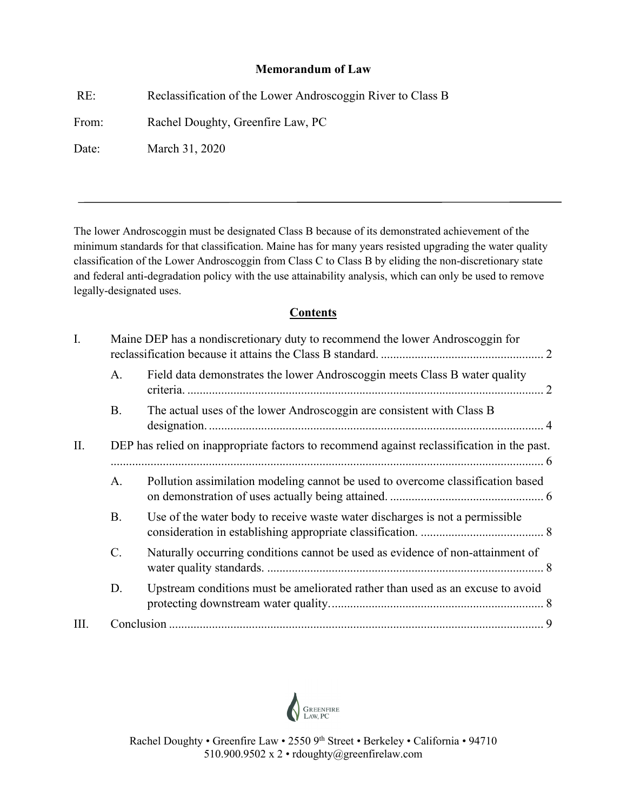### **Memorandum of Law**

RE: Reclassification of the Lower Androscoggin River to Class B From: Rachel Doughty, Greenfire Law, PC Date: March 31, 2020

The lower Androscoggin must be designated Class B because of its demonstrated achievement of the minimum standards for that classification. Maine has for many years resisted upgrading the water quality classification of the Lower Androscoggin from Class C to Class B by eliding the non-discretionary state and federal anti-degradation policy with the use attainability analysis, which can only be used to remove legally-designated uses.

# **Contents**

| I. | Maine DEP has a nondiscretionary duty to recommend the lower Androscoggin for              |                                                                                 |
|----|--------------------------------------------------------------------------------------------|---------------------------------------------------------------------------------|
|    | A.                                                                                         | Field data demonstrates the lower Androscoggin meets Class B water quality      |
|    | <b>B.</b>                                                                                  | The actual uses of the lower Androscoggin are consistent with Class B           |
| Π. | DEP has relied on inappropriate factors to recommend against reclassification in the past. |                                                                                 |
|    | A.                                                                                         | Pollution assimilation modeling cannot be used to overcome classification based |
|    | <b>B.</b>                                                                                  | Use of the water body to receive waste water discharges is not a permissible    |
|    | C.                                                                                         | Naturally occurring conditions cannot be used as evidence of non-attainment of  |
|    | D.                                                                                         | Upstream conditions must be ameliorated rather than used as an excuse to avoid  |
| Ш. |                                                                                            |                                                                                 |

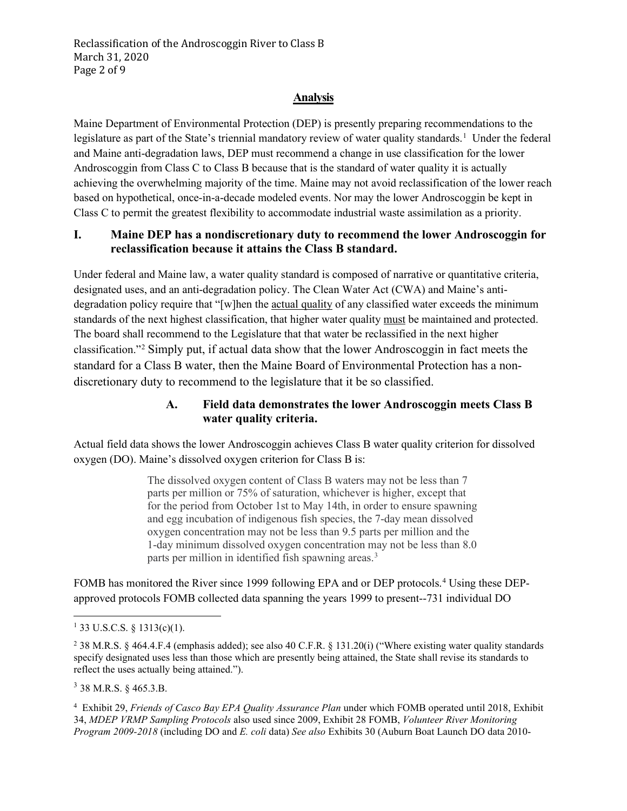#### **Analysis**

Maine Department of Environmental Protection (DEP) is presently preparing recommendations to the legislature as part of the State's triennial mandatory review of water quality standards.<sup>[1](#page-1-2)</sup> Under the federal and Maine anti-degradation laws, DEP must recommend a change in use classification for the lower Androscoggin from Class C to Class B because that is the standard of water quality it is actually achieving the overwhelming majority of the time. Maine may not avoid reclassification of the lower reach based on hypothetical, once-in-a-decade modeled events. Nor may the lower Androscoggin be kept in Class C to permit the greatest flexibility to accommodate industrial waste assimilation as a priority.

#### <span id="page-1-0"></span>**I. Maine DEP has a nondiscretionary duty to recommend the lower Androscoggin for reclassification because it attains the Class B standard.**

Under federal and Maine law, a water quality standard is composed of narrative or quantitative criteria, designated uses, and an anti-degradation policy. The Clean Water Act (CWA) and Maine's antidegradation policy require that "[w]hen the actual quality of any classified water exceeds the minimum standards of the next highest classification, that higher water quality must be maintained and protected. The board shall recommend to the Legislature that that water be reclassified in the next higher classification."[2](#page-1-3) Simply put, if actual data show that the lower Androscoggin in fact meets the standard for a Class B water, then the Maine Board of Environmental Protection has a nondiscretionary duty to recommend to the legislature that it be so classified.

### **A. Field data demonstrates the lower Androscoggin meets Class B water quality criteria.**

<span id="page-1-1"></span>Actual field data shows the lower Androscoggin achieves Class B water quality criterion for dissolved oxygen (DO). Maine's dissolved oxygen criterion for Class B is:

> The dissolved oxygen content of Class B waters may not be less than 7 parts per million or 75% of saturation, whichever is higher, except that for the period from October 1st to May 14th, in order to ensure spawning and egg incubation of indigenous fish species, the 7-day mean dissolved oxygen concentration may not be less than 9.5 parts per million and the 1-day minimum dissolved oxygen concentration may not be less than 8.0 parts per million in identified fish spawning areas.<sup>[3](#page-1-4)</sup>

FOMB has monitored the River since 1999 following EPA and or DEP protocols.<sup>[4](#page-1-5)</sup> Using these DEPapproved protocols FOMB collected data spanning the years 1999 to present--731 individual DO

<span id="page-1-4"></span><sup>3</sup> 38 M.R.S. § 465.3.B.

<span id="page-1-5"></span><sup>4</sup> Exhibit 29, *Friends of Casco Bay EPA Quality Assurance Plan* under which FOMB operated until 2018, Exhibit 34, *MDEP VRMP Sampling Protocols* also used since 2009, Exhibit 28 FOMB, *Volunteer River Monitoring Program 2009-2018* (including DO and *E. coli* data) *See also* Exhibits 30 (Auburn Boat Launch DO data 2010-

<span id="page-1-2"></span><sup>&</sup>lt;sup>1</sup> 33 U.S.C.S. § 1313(c)(1).

<span id="page-1-3"></span><sup>&</sup>lt;sup>2</sup> 38 M.R.S. § 464.4.F.4 (emphasis added); see also 40 C.F.R. § 131.20(i) ("Where existing water quality standards specify designated uses less than those which are presently being attained, the State shall revise its standards to reflect the uses actually being attained.").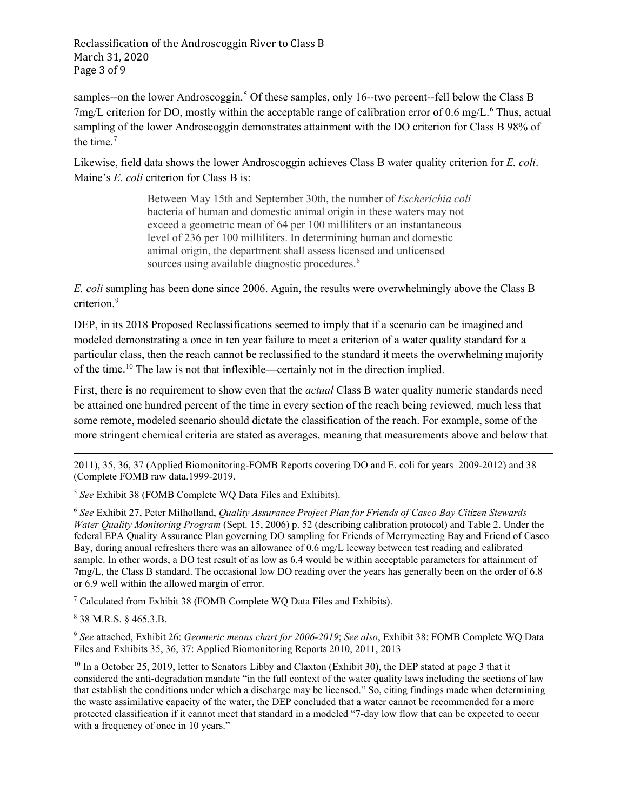Reclassification of the Androscoggin River to Class B March 31, 2020 Page 3 of 9

samples--on the lower Androscoggin.<sup>[5](#page-2-0)</sup> Of these samples, only 16--two percent--fell below the Class B  $7 \text{mg/L}$  criterion for DO, mostly within the acceptable range of calibration error of 0[.6](#page-2-1) mg/L.<sup>6</sup> Thus, actual sampling of the lower Androscoggin demonstrates attainment with the DO criterion for Class B 98% of the time. [7](#page-2-2)

Likewise, field data shows the lower Androscoggin achieves Class B water quality criterion for *E. coli*. Maine's *E. coli* criterion for Class B is:

> Between May 15th and September 30th, the number of *Escherichia coli* bacteria of human and domestic animal origin in these waters may not exceed a geometric mean of 64 per 100 milliliters or an instantaneous level of 236 per 100 milliliters. In determining human and domestic animal origin, the department shall assess licensed and unlicensed sources using available diagnostic procedures.<sup>[8](#page-2-3)</sup>

*E. coli* sampling has been done since 2006. Again, the results were overwhelmingly above the Class B criterion.<sup>[9](#page-2-4)</sup>

DEP, in its 2018 Proposed Reclassifications seemed to imply that if a scenario can be imagined and modeled demonstrating a once in ten year failure to meet a criterion of a water quality standard for a particular class, then the reach cannot be reclassified to the standard it meets the overwhelming majority of the time. [10](#page-2-5) The law is not that inflexible—certainly not in the direction implied.

First, there is no requirement to show even that the *actual* Class B water quality numeric standards need be attained one hundred percent of the time in every section of the reach being reviewed, much less that some remote, modeled scenario should dictate the classification of the reach. For example, some of the more stringent chemical criteria are stated as averages, meaning that measurements above and below that

2011), 35, 36, 37 (Applied Biomonitoring-FOMB Reports covering DO and E. coli for years 2009-2012) and 38 (Complete FOMB raw data.1999-2019.

<span id="page-2-0"></span><sup>5</sup> *See* Exhibit 38 (FOMB Complete WQ Data Files and Exhibits).

<span id="page-2-1"></span><sup>6</sup> *See* Exhibit 27, Peter Milholland, *Quality Assurance Project Plan for Friends of Casco Bay Citizen Stewards Water Quality Monitoring Program* (Sept. 15, 2006) p. 52 (describing calibration protocol) and Table 2. Under the federal EPA Quality Assurance Plan governing DO sampling for Friends of Merrymeeting Bay and Friend of Casco Bay, during annual refreshers there was an allowance of 0.6 mg/L leeway between test reading and calibrated sample. In other words, a DO test result of as low as 6.4 would be within acceptable parameters for attainment of 7mg/L, the Class B standard. The occasional low DO reading over the years has generally been on the order of 6.8 or 6.9 well within the allowed margin of error.

<span id="page-2-2"></span><sup>7</sup> Calculated from Exhibit 38 (FOMB Complete WQ Data Files and Exhibits).

<span id="page-2-3"></span><sup>8</sup> 38 M.R.S. § 465.3.B.

<span id="page-2-4"></span><sup>9</sup> *See* attached, Exhibit 26: *Geomeric means chart for 2006-2019*; *See also*, Exhibit 38: FOMB Complete WQ Data Files and Exhibits 35, 36, 37: Applied Biomonitoring Reports 2010, 2011, 2013

<span id="page-2-5"></span><sup>10</sup> In a October 25, 2019, letter to Senators Libby and Claxton (Exhibit 30), the DEP stated at page 3 that it considered the anti-degradation mandate "in the full context of the water quality laws including the sections of law that establish the conditions under which a discharge may be licensed." So, citing findings made when determining the waste assimilative capacity of the water, the DEP concluded that a water cannot be recommended for a more protected classification if it cannot meet that standard in a modeled "7-day low flow that can be expected to occur with a frequency of once in 10 years."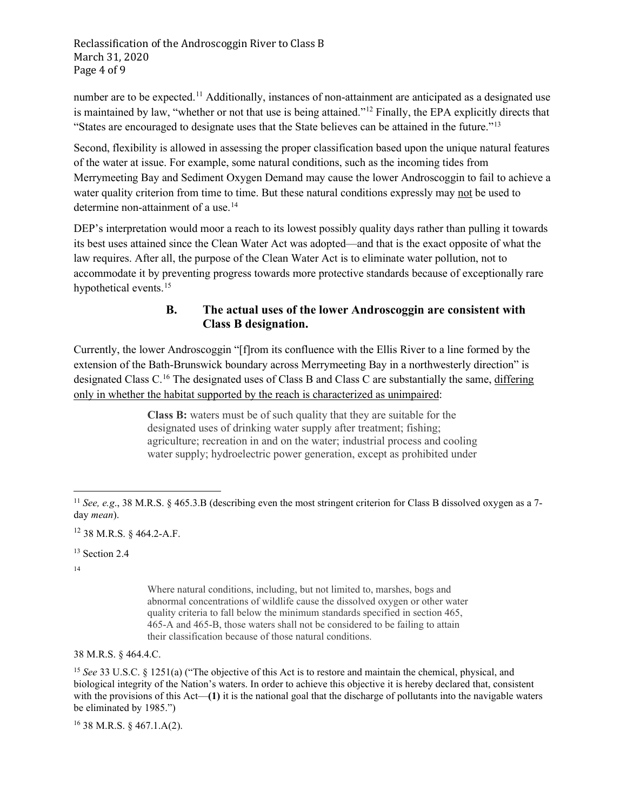number are to be expected.<sup>[11](#page-3-1)</sup> Additionally, instances of non-attainment are anticipated as a designated use is maintained by law, "whether or not that use is being attained.["12](#page-3-2) Finally, the EPA explicitly directs that "States are encouraged to designate uses that the State believes can be attained in the future."[13](#page-3-3)

Second, flexibility is allowed in assessing the proper classification based upon the unique natural features of the water at issue. For example, some natural conditions, such as the incoming tides from Merrymeeting Bay and Sediment Oxygen Demand may cause the lower Androscoggin to fail to achieve a water quality criterion from time to time. But these natural conditions expressly may not be used to determine non-attainment of a use. [14](#page-3-4)

DEP's interpretation would moor a reach to its lowest possibly quality days rather than pulling it towards its best uses attained since the Clean Water Act was adopted—and that is the exact opposite of what the law requires. After all, the purpose of the Clean Water Act is to eliminate water pollution, not to accommodate it by preventing progress towards more protective standards because of exceptionally rare hypothetical events.<sup>15</sup>

# **B. The actual uses of the lower Androscoggin are consistent with Class B designation.**

<span id="page-3-0"></span>Currently, the lower Androscoggin "[f]rom its confluence with the Ellis River to a line formed by the extension of the Bath-Brunswick boundary across Merrymeeting Bay in a northwesterly direction" is designated Class C.[16](#page-3-6) The designated uses of Class B and Class C are substantially the same, differing only in whether the habitat supported by the reach is characterized as unimpaired:

> **Class B:** waters must be of such quality that they are suitable for the designated uses of drinking water supply after treatment; fishing; agriculture; recreation in and on the water; industrial process and cooling water supply; hydroelectric power generation, except as prohibited under

<span id="page-3-2"></span><sup>12</sup> 38 M.R.S. § 464.2-A.F.

<span id="page-3-3"></span><sup>13</sup> Section 2.4

<span id="page-3-4"></span>14

Where natural conditions, including, but not limited to, marshes, bogs and abnormal concentrations of wildlife cause the dissolved oxygen or other water quality criteria to fall below the minimum standards specified in section 465, 465-A and 465-B, those waters shall not be considered to be failing to attain their classification because of those natural conditions.

38 M.R.S. § 464.4.C.

<span id="page-3-5"></span><sup>15</sup> *See* 33 U.S.C. § 1251(a) ("The objective of this Act is to restore and maintain the chemical, physical, and biological integrity of the Nation's waters. In order to achieve this objective it is hereby declared that, consistent with the provisions of this Act—(1) it is the national goal that the discharge of pollutants into the navigable waters be eliminated by 1985.")

<span id="page-3-6"></span><sup>16</sup> 38 M.R.S. § 467.1.A(2).

<span id="page-3-1"></span><sup>&</sup>lt;sup>11</sup> *See, e.g.*, 38 M.R.S. § 465.3.B (describing even the most stringent criterion for Class B dissolved oxygen as a 7day *mean*).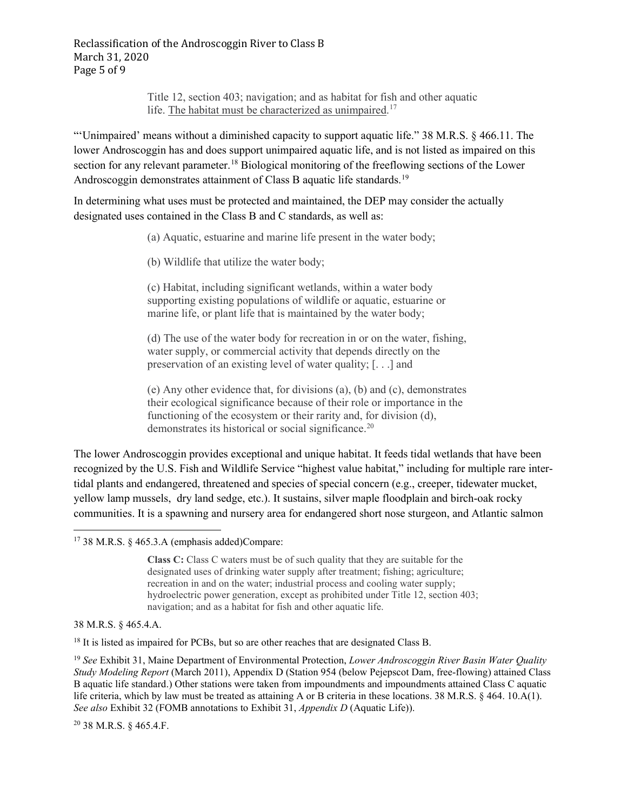Title 12, section 403; navigation; and as habitat for fish and other aquatic life. The habitat must be characterized as unimpaired.<sup>[17](#page-4-0)</sup>

"'Unimpaired' means without a diminished capacity to support aquatic life." 38 M.R.S. § 466.11. The lower Androscoggin has and does support unimpaired aquatic life, and is not listed as impaired on this section for any relevant parameter.<sup>[18](#page-4-1)</sup> Biological monitoring of the freeflowing sections of the Lower Androscoggin demonstrates attainment of Class B aquatic life standards.<sup>[19](#page-4-2)</sup>

In determining what uses must be protected and maintained, the DEP may consider the actually designated uses contained in the Class B and C standards, as well as:

(a) Aquatic, estuarine and marine life present in the water body;

(b) Wildlife that utilize the water body;

(c) Habitat, including significant wetlands, within a water body supporting existing populations of wildlife or aquatic, estuarine or marine life, or plant life that is maintained by the water body;

(d) The use of the water body for recreation in or on the water, fishing, water supply, or commercial activity that depends directly on the preservation of an existing level of water quality; [. . .] and

(e) Any other evidence that, for divisions (a), (b) and (c), demonstrates their ecological significance because of their role or importance in the functioning of the ecosystem or their rarity and, for division (d), demonstrates its historical or social significance.<sup>[20](#page-4-3)</sup>

The lower Androscoggin provides exceptional and unique habitat. It feeds tidal wetlands that have been recognized by the U.S. Fish and Wildlife Service "highest value habitat," including for multiple rare intertidal plants and endangered, threatened and species of special concern (e.g., creeper, tidewater mucket, yellow lamp mussels, dry land sedge, etc.). It sustains, silver maple floodplain and birch-oak rocky communities. It is a spawning and nursery area for endangered short nose sturgeon, and Atlantic salmon

38 M.R.S. § 465.4.A.

<span id="page-4-1"></span><sup>18</sup> It is listed as impaired for PCBs, but so are other reaches that are designated Class B.

<span id="page-4-2"></span><sup>19</sup> *See* Exhibit 31, Maine Department of Environmental Protection, *Lower Androscoggin River Basin Water Quality Study Modeling Report* (March 2011), Appendix D (Station 954 (below Pejepscot Dam, free-flowing) attained Class B aquatic life standard.) Other stations were taken from impoundments and impoundments attained Class C aquatic life criteria, which by law must be treated as attaining A or B criteria in these locations. 38 M.R.S. § 464. 10.A(1). *See also* Exhibit 32 (FOMB annotations to Exhibit 31, *Appendix D* (Aquatic Life)).

<span id="page-4-3"></span><sup>20</sup> 38 M.R.S. § 465.4.F.

<span id="page-4-0"></span> $17$  38 M.R.S. § 465.3.A (emphasis added)Compare:

**Class C:** Class C waters must be of such quality that they are suitable for the designated uses of drinking water supply after treatment; fishing; agriculture; recreation in and on the water; industrial process and cooling water supply; hydroelectric power generation, except as prohibited under Title 12, section 403; navigation; and as a habitat for fish and other aquatic life.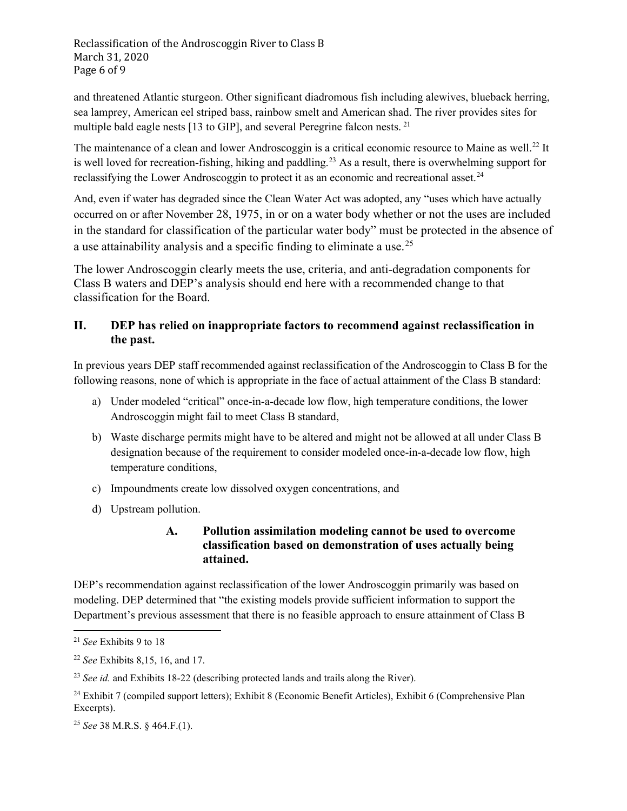Reclassification of the Androscoggin River to Class B March 31, 2020 Page 6 of 9

and threatened Atlantic sturgeon. Other significant diadromous fish including alewives, blueback herring, sea lamprey, American eel striped bass, rainbow smelt and American shad. The river provides sites for multiple bald eagle nests [13 to GIP], and several Peregrine falcon nests.<sup>[21](#page-5-2)</sup>

The maintenance of a clean and lower Androscoggin is a critical economic resource to Maine as well.<sup>[22](#page-5-3)</sup> It is well loved for recreation-fishing, hiking and paddling.<sup>23</sup> As a result, there is overwhelming support for reclassifying the Lower Androscoggin to protect it as an economic and recreational asset.<sup>[24](#page-5-5)</sup>

And, even if water has degraded since the Clean Water Act was adopted, any "uses which have actually occurred on or after November 28, 1975, in or on a water body whether or not the uses are included in the standard for classification of the particular water body" must be protected in the absence of a use attainability analysis and a specific finding to eliminate a use.<sup>[25](#page-5-6)</sup>

The lower Androscoggin clearly meets the use, criteria, and anti-degradation components for Class B waters and DEP's analysis should end here with a recommended change to that classification for the Board.

## <span id="page-5-0"></span>**II. DEP has relied on inappropriate factors to recommend against reclassification in the past.**

In previous years DEP staff recommended against reclassification of the Androscoggin to Class B for the following reasons, none of which is appropriate in the face of actual attainment of the Class B standard:

- a) Under modeled "critical" once-in-a-decade low flow, high temperature conditions, the lower Androscoggin might fail to meet Class B standard,
- b) Waste discharge permits might have to be altered and might not be allowed at all under Class B designation because of the requirement to consider modeled once-in-a-decade low flow, high temperature conditions,
- c) Impoundments create low dissolved oxygen concentrations, and
- <span id="page-5-1"></span>d) Upstream pollution.

# **A. Pollution assimilation modeling cannot be used to overcome classification based on demonstration of uses actually being attained.**

DEP's recommendation against reclassification of the lower Androscoggin primarily was based on modeling. DEP determined that "the existing models provide sufficient information to support the Department's previous assessment that there is no feasible approach to ensure attainment of Class B

<span id="page-5-2"></span><sup>21</sup> *See* Exhibits 9 to 18

<span id="page-5-3"></span><sup>22</sup> *See* Exhibits 8,15, 16, and 17.

<span id="page-5-4"></span><sup>23</sup> *See id.* and Exhibits 18-22 (describing protected lands and trails along the River).

<span id="page-5-5"></span><sup>&</sup>lt;sup>24</sup> Exhibit 7 (compiled support letters); Exhibit 8 (Economic Benefit Articles), Exhibit 6 (Comprehensive Plan Excerpts).

<span id="page-5-6"></span><sup>25</sup> *See* 38 M.R.S. § 464.F.(1).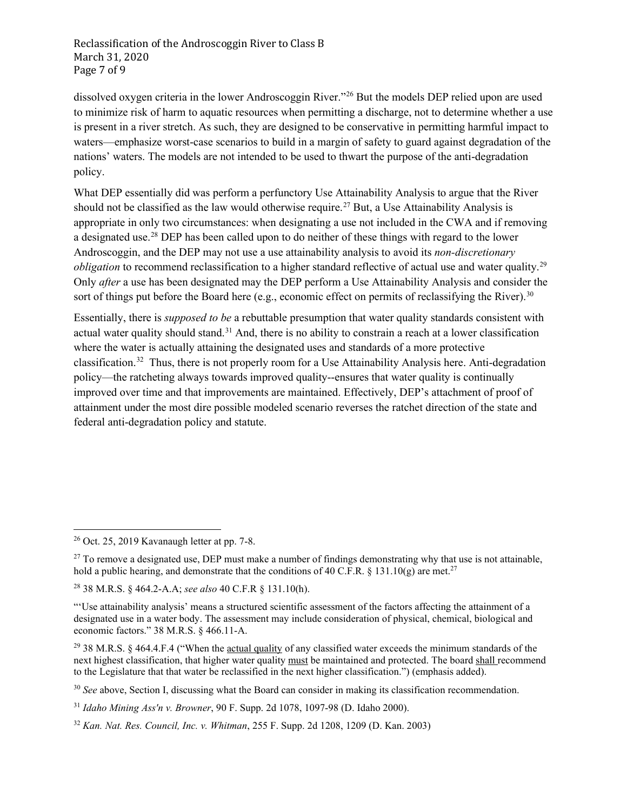Reclassification of the Androscoggin River to Class B March 31, 2020 Page 7 of 9

dissolved oxygen criteria in the lower Androscoggin River."[26](#page-6-0) But the models DEP relied upon are used to minimize risk of harm to aquatic resources when permitting a discharge, not to determine whether a use is present in a river stretch. As such, they are designed to be conservative in permitting harmful impact to waters—emphasize worst-case scenarios to build in a margin of safety to guard against degradation of the nations' waters. The models are not intended to be used to thwart the purpose of the anti-degradation policy.

What DEP essentially did was perform a perfunctory Use Attainability Analysis to argue that the River should not be classified as the law would otherwise require. [27](#page-6-1) But, a Use Attainability Analysis is appropriate in only two circumstances: when designating a use not included in the CWA and if removing a designated use.<sup>[28](#page-6-2)</sup> DEP has been called upon to do neither of these things with regard to the lower Androscoggin, and the DEP may not use a use attainability analysis to avoid its *non-discretionary obligation* to recommend reclassification to a higher standard reflective of actual use and water quality.<sup>[29](#page-6-3)</sup> Only *after* a use has been designated may the DEP perform a Use Attainability Analysis and consider the sort of things put before the Board here (e.g., economic effect on permits of reclassifying the River).<sup>[30](#page-6-4)</sup>

Essentially, there is *supposed to be* a rebuttable presumption that water quality standards consistent with actual water quality should stand.<sup>[31](#page-6-5)</sup> And, there is no ability to constrain a reach at a lower classification where the water is actually attaining the designated uses and standards of a more protective classification.[32](#page-6-6) Thus, there is not properly room for a Use Attainability Analysis here. Anti-degradation policy—the ratcheting always towards improved quality--ensures that water quality is continually improved over time and that improvements are maintained. Effectively, DEP's attachment of proof of attainment under the most dire possible modeled scenario reverses the ratchet direction of the state and federal anti-degradation policy and statute.

<span id="page-6-0"></span><sup>26</sup> Oct. 25, 2019 Kavanaugh letter at pp. 7-8.

<span id="page-6-1"></span> $27$  To remove a designated use, DEP must make a number of findings demonstrating why that use is not attainable, hold a public hearing, and demonstrate that the conditions of 40 C.F.R. § 131.10(g) are met.<sup>27</sup>

<span id="page-6-2"></span><sup>28</sup> 38 M.R.S. § 464.2-A.A; *see also* 40 C.F.R § 131.10(h).

<sup>&</sup>quot;'Use attainability analysis' means a structured scientific assessment of the factors affecting the attainment of a designated use in a water body. The assessment may include consideration of physical, chemical, biological and economic factors." 38 M.R.S. § 466.11-A.

<span id="page-6-3"></span><sup>&</sup>lt;sup>29</sup> 38 M.R.S. § 464.4.F.4 ("When the <u>actual quality</u> of any classified water exceeds the minimum standards of the next highest classification, that higher water quality must be maintained and protected. The board shall recommend to the Legislature that that water be reclassified in the next higher classification.") (emphasis added).

<span id="page-6-4"></span><sup>30</sup> *See* above, Sectio[n I,](#page-1-0) discussing what the Board can consider in making its classification recommendation.

<span id="page-6-5"></span><sup>31</sup> *Idaho Mining Ass'n v. Browner*, 90 F. Supp. 2d 1078, 1097-98 (D. Idaho 2000).

<span id="page-6-6"></span><sup>32</sup> *Kan. Nat. Res. Council, Inc. v. Whitman*, 255 F. Supp. 2d 1208, 1209 (D. Kan. 2003)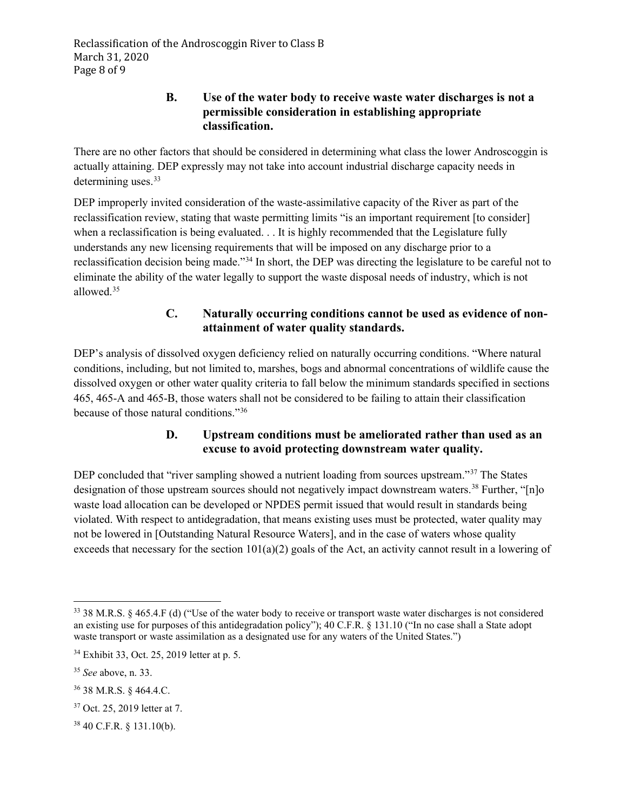### **B. Use of the water body to receive waste water discharges is not a permissible consideration in establishing appropriate classification.**

<span id="page-7-0"></span>There are no other factors that should be considered in determining what class the lower Androscoggin is actually attaining. DEP expressly may not take into account industrial discharge capacity needs in determining uses.<sup>[33](#page-7-4)</sup>

<span id="page-7-3"></span>DEP improperly invited consideration of the waste-assimilative capacity of the River as part of the reclassification review, stating that waste permitting limits "is an important requirement [to consider] when a reclassification is being evaluated. . . It is highly recommended that the Legislature fully understands any new licensing requirements that will be imposed on any discharge prior to a reclassification decision being made."[34](#page-7-5) In short, the DEP was directing the legislature to be careful not to eliminate the ability of the water legally to support the waste disposal needs of industry, which is not allowed.[35](#page-7-6)

# **C. Naturally occurring conditions cannot be used as evidence of nonattainment of water quality standards.**

<span id="page-7-1"></span>DEP's analysis of dissolved oxygen deficiency relied on naturally occurring conditions. "Where natural conditions, including, but not limited to, marshes, bogs and abnormal concentrations of wildlife cause the dissolved oxygen or other water quality criteria to fall below the minimum standards specified in sections 465, 465-A and 465-B, those waters shall not be considered to be failing to attain their classification because of those natural conditions."[36](#page-7-7)

# **D. Upstream conditions must be ameliorated rather than used as an excuse to avoid protecting downstream water quality.**

<span id="page-7-2"></span>DEP concluded that "river sampling showed a nutrient loading from sources upstream."<sup>[37](#page-7-8)</sup> The States designation of those upstream sources should not negatively impact downstream waters.<sup>[38](#page-7-9)</sup> Further, "[n]o waste load allocation can be developed or NPDES permit issued that would result in standards being violated. With respect to antidegradation, that means existing uses must be protected, water quality may not be lowered in [Outstanding Natural Resource Waters], and in the case of waters whose quality exceeds that necessary for the section  $101(a)(2)$  goals of the Act, an activity cannot result in a lowering of

<span id="page-7-4"></span><sup>33</sup> 38 M.R.S. § 465.4.F (d) ("Use of the water body to receive or transport waste water discharges is not considered an existing use for purposes of this antidegradation policy"); 40 C.F.R. § 131.10 ("In no case shall a State adopt waste transport or waste assimilation as a designated use for any waters of the United States.")

<span id="page-7-5"></span><sup>34</sup> Exhibit 33, Oct. 25, 2019 letter at p. 5.

<span id="page-7-6"></span><sup>35</sup> *See* above, n. [33.](#page-7-3)

<span id="page-7-7"></span><sup>36</sup> 38 M.R.S. § 464.4.C.

<span id="page-7-8"></span><sup>37</sup> Oct. 25, 2019 letter at 7.

<span id="page-7-9"></span><sup>38</sup> 40 C.F.R. § 131.10(b).